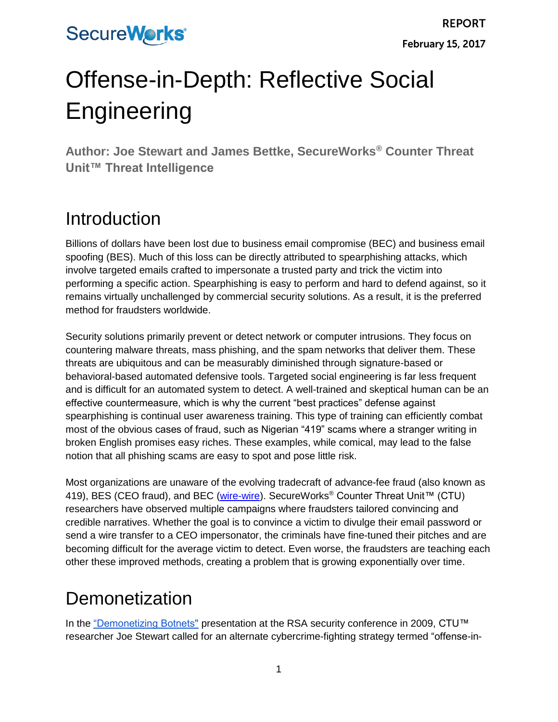# Offense-in-Depth: Reflective Social **Engineering**

**Author: Joe Stewart and James Bettke, SecureWorks® Counter Threat Unit™ Threat Intelligence**

#### Introduction

Billions of dollars have been lost due to business email compromise (BEC) and business email spoofing (BES). Much of this loss can be directly attributed to spearphishing attacks, which involve targeted emails crafted to impersonate a trusted party and trick the victim into performing a specific action. Spearphishing is easy to perform and hard to defend against, so it remains virtually unchallenged by commercial security solutions. As a result, it is the preferred method for fraudsters worldwide.

Security solutions primarily prevent or detect network or computer intrusions. They focus on countering malware threats, mass phishing, and the spam networks that deliver them. These threats are ubiquitous and can be measurably diminished through signature-based or behavioral-based automated defensive tools. Targeted social engineering is far less frequent and is difficult for an automated system to detect. A well-trained and skeptical human can be an effective countermeasure, which is why the current "best practices" defense against spearphishing is continual user awareness training. This type of training can efficiently combat most of the obvious cases of fraud, such as Nigerian "419" scams where a stranger writing in broken English promises easy riches. These examples, while comical, may lead to the false notion that all phishing scams are easy to spot and pose little risk.

Most organizations are unaware of the evolving tradecraft of advance-fee fraud (also known as 419), BES (CEO fraud), and BEC [\(wire-wire\)](https://www.secureworks.com/research/wire-wire-a-west-african-cyber-threat). SecureWorks<sup>®</sup> Counter Threat Unit™ (CTU) researchers have observed multiple campaigns where fraudsters tailored convincing and credible narratives. Whether the goal is to convince a victim to divulge their email password or send a wire transfer to a CEO impersonator, the criminals have fine-tuned their pitches and are becoming difficult for the average victim to detect. Even worse, the fraudsters are teaching each other these improved methods, creating a problem that is growing exponentially over time.

#### Demonetization

In the ["Demonetizing Botnets"](https://www.secureworks.com/blog/speaking-at-rsa) presentation at the RSA security conference in 2009, CTU™ researcher Joe Stewart called for an alternate cybercrime-fighting strategy termed "offense-in-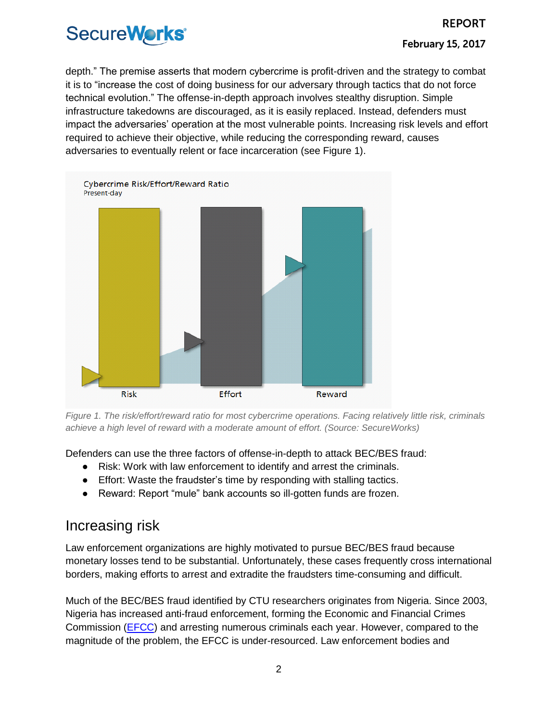depth." The premise asserts that modern cybercrime is profit-driven and the strategy to combat it is to "increase the cost of doing business for our adversary through tactics that do not force technical evolution." The offense-in-depth approach involves stealthy disruption. Simple infrastructure takedowns are discouraged, as it is easily replaced. Instead, defenders must impact the adversaries' operation at the most vulnerable points. Increasing risk levels and effort required to achieve their objective, while reducing the corresponding reward, causes adversaries to eventually relent or face incarceration (see Figure 1).



*Figure 1. The risk/effort/reward ratio for most cybercrime operations. Facing relatively little risk, criminals achieve a high level of reward with a moderate amount of effort. (Source: SecureWorks)*

Defenders can use the three factors of offense-in-depth to attack BEC/BES fraud:

- Risk: Work with law enforcement to identify and arrest the criminals.
- Effort: Waste the fraudster's time by responding with stalling tactics.
- Reward: Report "mule" bank accounts so ill-gotten funds are frozen.

#### Increasing risk

Law enforcement organizations are highly motivated to pursue BEC/BES fraud because monetary losses tend to be substantial. Unfortunately, these cases frequently cross international borders, making efforts to arrest and extradite the fraudsters time-consuming and difficult.

Much of the BEC/BES fraud identified by CTU researchers originates from Nigeria. Since 2003, Nigeria has increased anti-fraud enforcement, forming the Economic and Financial Crimes Commission [\(EFCC\)](https://efccnigeria.org/efcc/) and arresting numerous criminals each year. However, compared to the magnitude of the problem, the EFCC is under-resourced. Law enforcement bodies and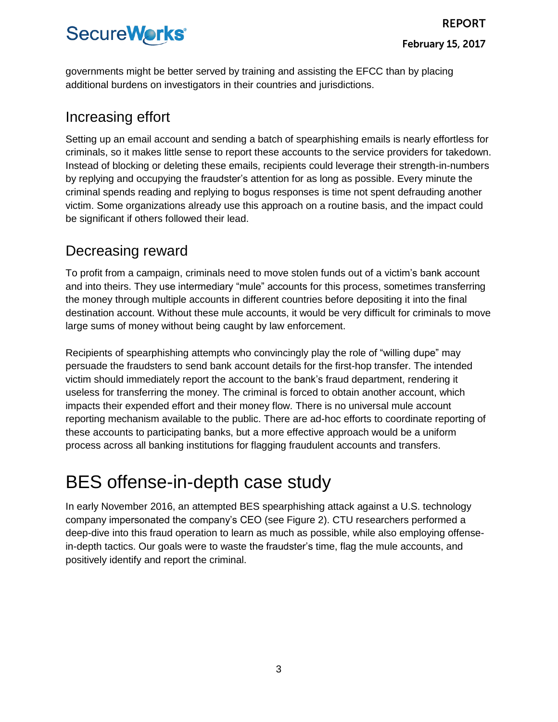governments might be better served by training and assisting the EFCC than by placing additional burdens on investigators in their countries and jurisdictions.

#### Increasing effort

Setting up an email account and sending a batch of spearphishing emails is nearly effortless for criminals, so it makes little sense to report these accounts to the service providers for takedown. Instead of blocking or deleting these emails, recipients could leverage their strength-in-numbers by replying and occupying the fraudster's attention for as long as possible. Every minute the criminal spends reading and replying to bogus responses is time not spent defrauding another victim. Some organizations already use this approach on a routine basis, and the impact could be significant if others followed their lead.

#### Decreasing reward

To profit from a campaign, criminals need to move stolen funds out of a victim's bank account and into theirs. They use intermediary "mule" accounts for this process, sometimes transferring the money through multiple accounts in different countries before depositing it into the final destination account. Without these mule accounts, it would be very difficult for criminals to move large sums of money without being caught by law enforcement.

Recipients of spearphishing attempts who convincingly play the role of "willing dupe" may persuade the fraudsters to send bank account details for the first-hop transfer. The intended victim should immediately report the account to the bank's fraud department, rendering it useless for transferring the money. The criminal is forced to obtain another account, which impacts their expended effort and their money flow. There is no universal mule account reporting mechanism available to the public. There are ad-hoc efforts to coordinate reporting of these accounts to participating banks, but a more effective approach would be a uniform process across all banking institutions for flagging fraudulent accounts and transfers.

### BES offense-in-depth case study

In early November 2016, an attempted BES spearphishing attack against a U.S. technology company impersonated the company's CEO (see Figure 2). CTU researchers performed a deep-dive into this fraud operation to learn as much as possible, while also employing offensein-depth tactics. Our goals were to waste the fraudster's time, flag the mule accounts, and positively identify and report the criminal.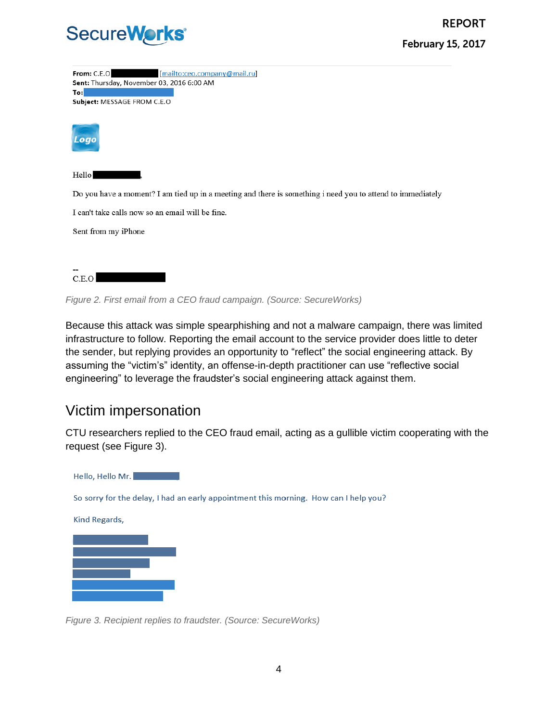

| From: C.E.O<br>[mailto:ceo.company@mail.ru]<br>Sent: Thursday, November 03, 2016 6:00 AM<br>To:            |
|------------------------------------------------------------------------------------------------------------|
| Subject: MESSAGE FROM C.E.O                                                                                |
| Logo                                                                                                       |
| Hello                                                                                                      |
| Do you have a moment? I am tied up in a meeting and there is something i need you to attend to immediately |
| I can't take calls now so an email will be fine.                                                           |
| Sent from my iPhone                                                                                        |

| C.E.O. |  |
|--------|--|
|        |  |
|        |  |

*Figure 2. First email from a CEO fraud campaign. (Source: SecureWorks)*

Because this attack was simple spearphishing and not a malware campaign, there was limited infrastructure to follow. Reporting the email account to the service provider does little to deter the sender, but replying provides an opportunity to "reflect" the social engineering attack. By assuming the "victim's" identity, an offense-in-depth practitioner can use "reflective social engineering" to leverage the fraudster's social engineering attack against them.

#### Victim impersonation

CTU researchers replied to the CEO fraud email, acting as a gullible victim cooperating with the request (see Figure 3).



*Figure 3. Recipient replies to fraudster. (Source: SecureWorks)*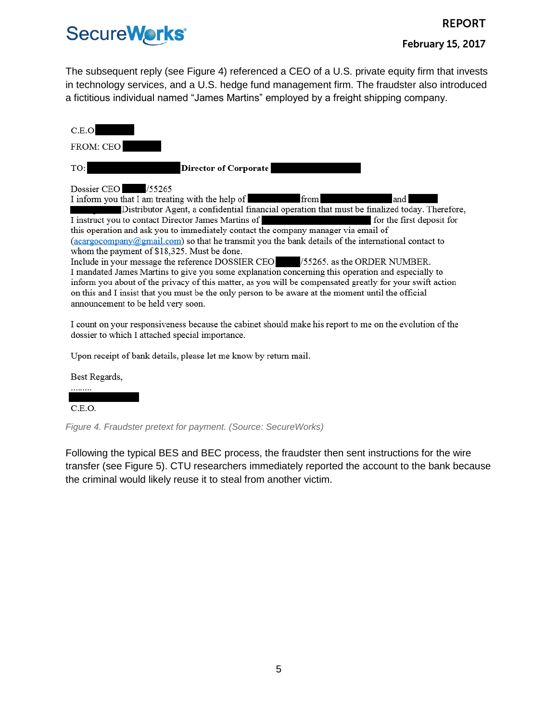The subsequent reply (see Figure 4) referenced a CEO of a U.S. private equity firm that invests in technology services, and a U.S. hedge fund management firm. The fraudster also introduced a fictitious individual named "James Martins" employed by a freight shipping company.

FROM: CEO

TO:

 $C.E.O$ 

**Director of Corporate** 

#### Dossier CEO /55265

I inform you that I am treating with the help of and from

Distributor Agent, a confidential financial operation that must be finalized today. Therefore, I instruct you to contact Director James Martins of for the first deposit for this operation and ask you to immediately contact the company manager via email of (acargocompany@gmail.com) so that he transmit you the bank details of the international contact to

whom the payment of \$18,325. Must be done.

Include in your message the reference DOSSIER CEO /55265. as the ORDER NUMBER. I mandated James Martins to give you some explanation concerning this operation and especially to inform you about of the privacy of this matter, as you will be compensated greatly for your swift action on this and I insist that you must be the only person to be aware at the moment until the official announcement to be held very soon.

I count on your responsiveness because the cabinet should make his report to me on the evolution of the dossier to which I attached special importance.

Upon receipt of bank details, please let me know by return mail.

Best Regards,

C.E.O.

*Figure 4. Fraudster pretext for payment. (Source: SecureWorks)*

Following the typical BES and BEC process, the fraudster then sent instructions for the wire transfer (see Figure 5). CTU researchers immediately reported the account to the bank because the criminal would likely reuse it to steal from another victim.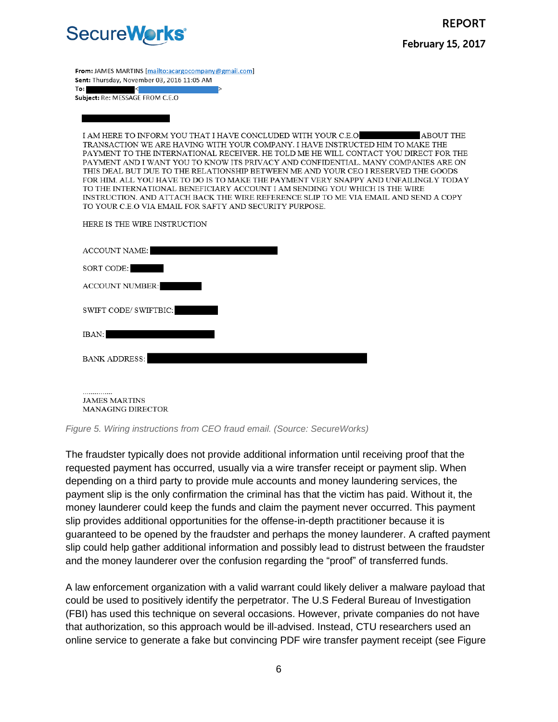

**February 15, 2017** 

**REPORT** 

From: JAMES MARTINS [mailto:acargocompany@gmail.com] Sent: Thursday, November 03, 2016 11:05 AM

 $To: \blacksquare$ Subject: Re: MESSAGE FROM C.E.O

I AM HERE TO INFORM YOU THAT I HAVE CONCLUDED WITH YOUR C.E.O **ABOUT THE** TRANSACTION WE ARE HAVING WITH YOUR COMPANY. I HAVE INSTRUCTED HIM TO MAKE THE PAYMENT TO THE INTERNATIONAL RECEIVER. HE TOLD ME HE WILL CONTACT YOU DIRECT FOR THE PAYMENT AND I WANT YOU TO KNOW ITS PRIVACY AND CONFIDENTIAL. MANY COMPANIES ARE ON THIS DEAL BUT DUE TO THE RELATIONSHIP BETWEEN ME AND YOUR CEO I RESERVED THE GOODS FOR HIM. ALL YOU HAVE TO DO IS TO MAKE THE PAYMENT VERY SNAPPY AND UNFAILINGLY TODAY TO THE INTERNATIONAL BENEFICIARY ACCOUNT I AM SENDING YOU WHICH IS THE WIRE INSTRUCTION. AND ATTACH BACK THE WIRE REFERENCE SLIP TO ME VIA EMAIL AND SEND A COPY TO YOUR C.E.O VIA EMAIL FOR SAFTY AND SECURITY PURPOSE.

HERE IS THE WIRE INSTRUCTION

| <b>ACCOUNT NAME:</b>   |
|------------------------|
| SORT CODE:             |
| <b>ACCOUNT NUMBER:</b> |
| SWIFT CODE/ SWIFTBIC:  |
| IBAN:                  |
| <b>BANK ADDRESS:</b>   |
|                        |
|                        |

**JAMES MARTINS** MANAGING DIRECTOR

*Figure 5. Wiring instructions from CEO fraud email. (Source: SecureWorks)*

The fraudster typically does not provide additional information until receiving proof that the requested payment has occurred, usually via a wire transfer receipt or payment slip. When depending on a third party to provide mule accounts and money laundering services, the payment slip is the only confirmation the criminal has that the victim has paid. Without it, the money launderer could keep the funds and claim the payment never occurred. This payment slip provides additional opportunities for the offense-in-depth practitioner because it is guaranteed to be opened by the fraudster and perhaps the money launderer. A crafted payment slip could help gather additional information and possibly lead to distrust between the fraudster and the money launderer over the confusion regarding the "proof" of transferred funds.

A law enforcement organization with a valid warrant could likely deliver a malware payload that could be used to positively identify the perpetrator. The U.S Federal Bureau of Investigation (FBI) has used this technique on several occasions. However, private companies do not have that authorization, so this approach would be ill-advised. Instead, CTU researchers used an online service to generate a fake but convincing PDF wire transfer payment receipt (see Figure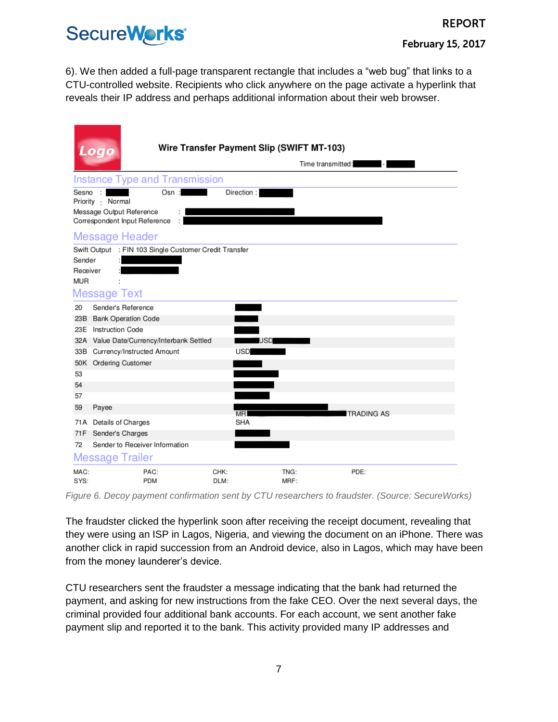#### **REPORT**

### SecureWorks<sup>®</sup>

**February 15, 2017** 

6). We then added a full-page transparent rectangle that includes a "web bug" that links to a CTU-controlled website. Recipients who click anywhere on the page activate a hyperlink that reveals their IP address and perhaps additional information about their web browser.

|                                  | ogo                                                                                               |              | Wire Transfer Payment Slip (SWIFT MT-103)<br>Time transmitted: |
|----------------------------------|---------------------------------------------------------------------------------------------------|--------------|----------------------------------------------------------------|
|                                  | <b>Instance Type and Transmission</b>                                                             |              |                                                                |
| Sesno                            | $\cdot$<br>Osn:<br>Priority : Normal<br>Message Output Reference<br>Correspondent Input Reference |              | Direction:                                                     |
|                                  | <b>Message Header</b>                                                                             |              |                                                                |
| Sender<br>Receiver<br><b>MUR</b> | Swift Output : FIN 103 Single Customer Credit Transfer<br><b>Message Text</b>                     |              |                                                                |
| 20                               | Sender's Reference                                                                                |              |                                                                |
| 23B                              | <b>Bank Operation Code</b>                                                                        |              |                                                                |
|                                  | 23E Instruction Code                                                                              |              |                                                                |
|                                  | 32A Value Date/Currency/Interbank Settled                                                         |              | <b>USD</b>                                                     |
| 33 B                             | Currency/Instructed Amount                                                                        |              | <b>USD</b>                                                     |
|                                  | 50K Ordering Customer                                                                             |              |                                                                |
| 53<br>54                         |                                                                                                   |              |                                                                |
| 57                               |                                                                                                   |              |                                                                |
| 59                               | Payee                                                                                             |              |                                                                |
|                                  |                                                                                                   |              | <b>MR</b><br><b>TRADING AS</b>                                 |
| 71F                              | 71A Details of Charges                                                                            |              | <b>SHA</b>                                                     |
| 72                               | Sender's Charges<br>Sender to Receiver Information                                                |              |                                                                |
|                                  | <b>Message Trailer</b>                                                                            |              |                                                                |
| MAC:<br>SYS:                     | PAC:<br><b>PDM</b>                                                                                | CHK:<br>DLM: | TNG:<br>PDE:<br>MRF:                                           |

*Figure 6. Decoy payment confirmation sent by CTU researchers to fraudster. (Source: SecureWorks)*

The fraudster clicked the hyperlink soon after receiving the receipt document, revealing that they were using an ISP in Lagos, Nigeria, and viewing the document on an iPhone. There was another click in rapid succession from an Android device, also in Lagos, which may have been from the money launderer's device.

CTU researchers sent the fraudster a message indicating that the bank had returned the payment, and asking for new instructions from the fake CEO. Over the next several days, the criminal provided four additional bank accounts. For each account, we sent another fake payment slip and reported it to the bank. This activity provided many IP addresses and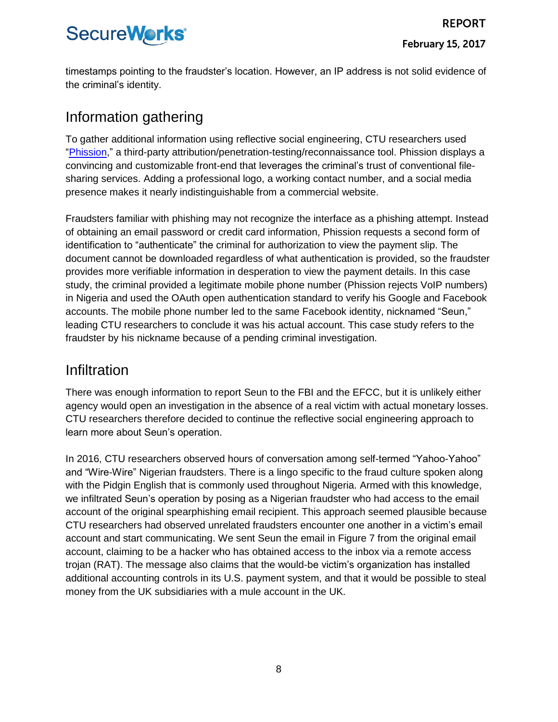timestamps pointing to the fraudster's location. However, an IP address is not solid evidence of the criminal's identity.

#### Information gathering

To gather additional information using reflective social engineering, CTU researchers used ["Phission,](http://phission.com/)" a third-party attribution/penetration-testing/reconnaissance tool. Phission displays a convincing and customizable front-end that leverages the criminal's trust of conventional filesharing services. Adding a professional logo, a working contact number, and a social media presence makes it nearly indistinguishable from a commercial website.

Fraudsters familiar with phishing may not recognize the interface as a phishing attempt. Instead of obtaining an email password or credit card information, Phission requests a second form of identification to "authenticate" the criminal for authorization to view the payment slip. The document cannot be downloaded regardless of what authentication is provided, so the fraudster provides more verifiable information in desperation to view the payment details. In this case study, the criminal provided a legitimate mobile phone number (Phission rejects VoIP numbers) in Nigeria and used the OAuth open authentication standard to verify his Google and Facebook accounts. The mobile phone number led to the same Facebook identity, nicknamed "Seun," leading CTU researchers to conclude it was his actual account. This case study refers to the fraudster by his nickname because of a pending criminal investigation.

#### Infiltration

There was enough information to report Seun to the FBI and the EFCC, but it is unlikely either agency would open an investigation in the absence of a real victim with actual monetary losses. CTU researchers therefore decided to continue the reflective social engineering approach to learn more about Seun's operation.

In 2016, CTU researchers observed hours of conversation among self-termed "Yahoo-Yahoo" and "Wire-Wire" Nigerian fraudsters. There is a lingo specific to the fraud culture spoken along with the Pidgin English that is commonly used throughout Nigeria. Armed with this knowledge, we infiltrated Seun's operation by posing as a Nigerian fraudster who had access to the email account of the original spearphishing email recipient. This approach seemed plausible because CTU researchers had observed unrelated fraudsters encounter one another in a victim's email account and start communicating. We sent Seun the email in Figure 7 from the original email account, claiming to be a hacker who has obtained access to the inbox via a remote access trojan (RAT). The message also claims that the would-be victim's organization has installed additional accounting controls in its U.S. payment system, and that it would be possible to steal money from the UK subsidiaries with a mule account in the UK.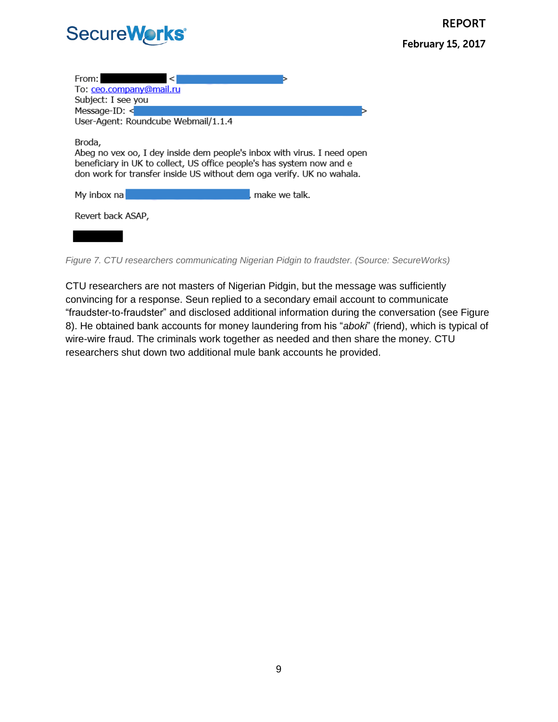| From:<br>To: ceo.company@mail.ru<br>Subject: I see you<br>Message-ID: $\leq$<br>User-Agent: Roundcube Webmail/1.1.4                                                                                                                 |               |
|-------------------------------------------------------------------------------------------------------------------------------------------------------------------------------------------------------------------------------------|---------------|
| Broda,<br>Abeg no vex oo, I dey inside dem people's inbox with virus. I need open<br>beneficiary in UK to collect, US office people's has system now and e<br>don work for transfer inside US without dem oga verify. UK no wahala. |               |
| My inbox na                                                                                                                                                                                                                         | make we talk. |
| Revert back ASAP,                                                                                                                                                                                                                   |               |
|                                                                                                                                                                                                                                     |               |

*Figure 7. CTU researchers communicating Nigerian Pidgin to fraudster. (Source: SecureWorks)*

CTU researchers are not masters of Nigerian Pidgin, but the message was sufficiently convincing for a response. Seun replied to a secondary email account to communicate "fraudster-to-fraudster" and disclosed additional information during the conversation (see Figure 8). He obtained bank accounts for money laundering from his "*aboki*" (friend), which is typical of wire-wire fraud. The criminals work together as needed and then share the money. CTU researchers shut down two additional mule bank accounts he provided.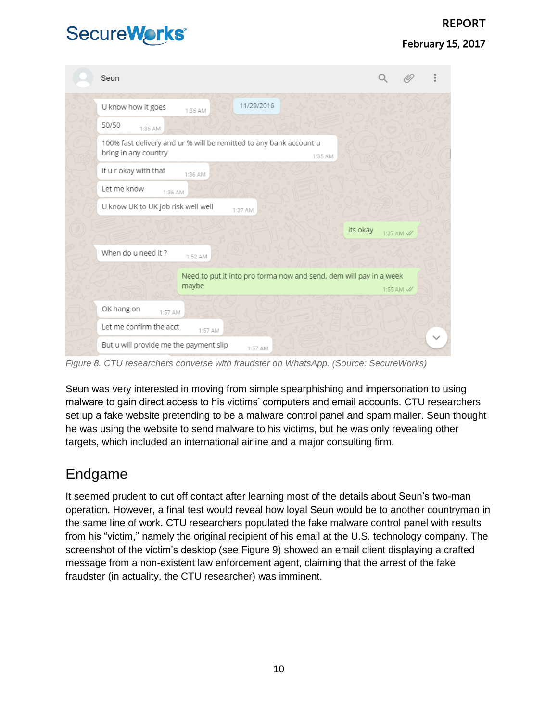#### **February 15, 2017**

| Seun                                                                                       |         |            |                                                                    |          |                       |  |
|--------------------------------------------------------------------------------------------|---------|------------|--------------------------------------------------------------------|----------|-----------------------|--|
| U know how it goes                                                                         | 1:35 AM | 11/29/2016 |                                                                    |          |                       |  |
| 50/50<br>1:35 AM                                                                           |         |            |                                                                    |          |                       |  |
| 100% fast delivery and ur % will be remitted to any bank account u<br>bring in any country |         |            | 1:35 AM                                                            |          |                       |  |
| If u r okay with that                                                                      | 1:36 AM |            |                                                                    |          |                       |  |
| Let me know<br>1:36 AM                                                                     |         |            |                                                                    |          |                       |  |
| U know UK to UK job risk well well                                                         |         | 1:37 AM    |                                                                    |          |                       |  |
|                                                                                            |         |            |                                                                    | its okay | 1:37 AM //            |  |
| When do u need it?                                                                         | 1:52 AM |            |                                                                    |          |                       |  |
|                                                                                            | maybe   |            | Need to put it into pro forma now and send, dem will pay in a week |          | 1:55 AM $\mathcal{N}$ |  |
| OK hang on<br>1:57 AM                                                                      |         |            |                                                                    |          |                       |  |
| Let me confirm the acct                                                                    | 1:57 AM |            |                                                                    |          |                       |  |
| But u will provide me the payment slip                                                     |         | 1:57 AM    |                                                                    |          |                       |  |

*Figure 8. CTU researchers converse with fraudster on WhatsApp. (Source: SecureWorks)*

Seun was very interested in moving from simple spearphishing and impersonation to using malware to gain direct access to his victims' computers and email accounts. CTU researchers set up a fake website pretending to be a malware control panel and spam mailer. Seun thought he was using the website to send malware to his victims, but he was only revealing other targets, which included an international airline and a major consulting firm.

#### Endgame

It seemed prudent to cut off contact after learning most of the details about Seun's two-man operation. However, a final test would reveal how loyal Seun would be to another countryman in the same line of work. CTU researchers populated the fake malware control panel with results from his "victim," namely the original recipient of his email at the U.S. technology company. The screenshot of the victim's desktop (see Figure 9) showed an email client displaying a crafted message from a non-existent law enforcement agent, claiming that the arrest of the fake fraudster (in actuality, the CTU researcher) was imminent.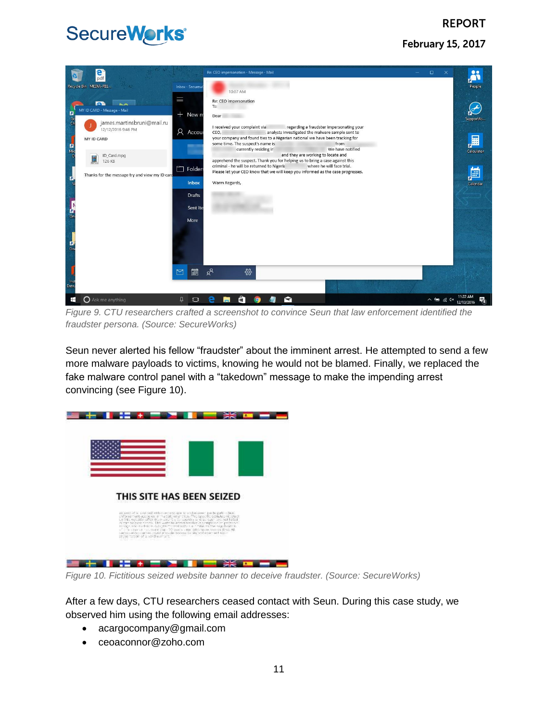#### **REPORT**

**February 15, 2017** 

## SecureWorks®



*Figure 9. CTU researchers crafted a screenshot to convince Seun that law enforcement identified the fraudster persona. (Source: SecureWorks)*

Seun never alerted his fellow "fraudster" about the imminent arrest. He attempted to send a few more malware payloads to victims, knowing he would not be blamed. Finally, we replaced the fake malware control panel with a "takedown" message to make the impending arrest convincing (see Figure 10).



*Figure 10. Fictitious seized website banner to deceive fraudster. (Source: SecureWorks)*

After a few days, CTU researchers ceased contact with Seun. During this case study, we observed him using the following email addresses:

- acargocompany@gmail.com
- ceoaconnor@zoho.com